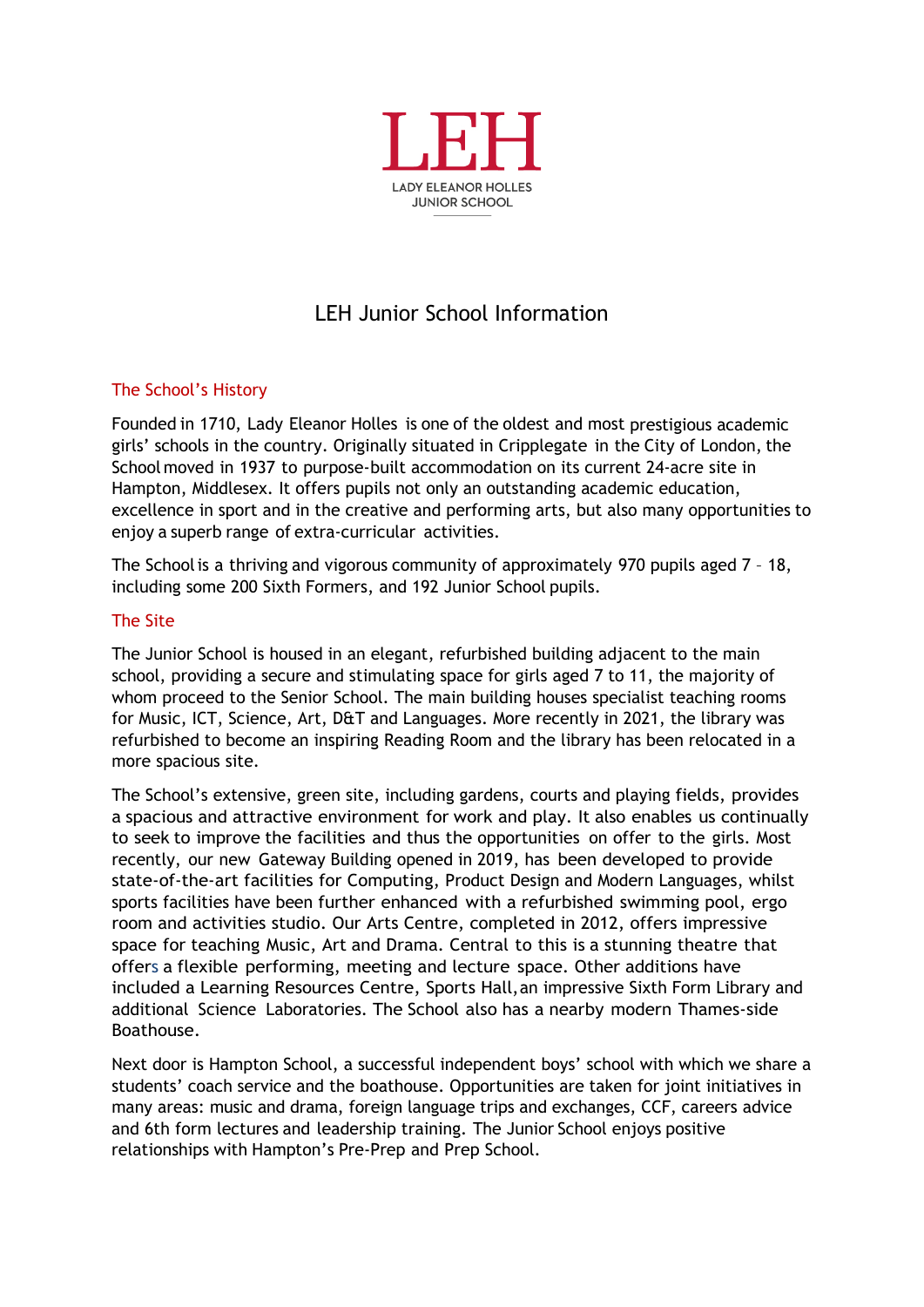

# LEH Junior School Information

## The School's History

Founded in 1710, Lady Eleanor Holles is one of the oldest and most prestigious academic girls' schools in the country. Originally situated in Cripplegate in the City of London, the School moved in 1937 to purpose-built accommodation on its current 24-acre site in Hampton, Middlesex. It offers pupils not only an outstanding academic education, excellence in sport and in the creative and performing arts, but also many opportunities to enjoy a superb range of extra-curricular activities.

The Schoolis a thriving and vigorous community of approximately 970 pupils aged 7 – 18, including some 200 Sixth Formers, and 192 Junior School pupils.

### The Site

The Junior School is housed in an elegant, refurbished building adjacent to the main school, providing a secure and stimulating space for girls aged 7 to 11, the majority of whom proceed to the Senior School. The main building houses specialist teaching rooms for Music, ICT, Science, Art, D&T and Languages. More recently in 2021, the library was refurbished to become an inspiring Reading Room and the library has been relocated in a more spacious site.

The School's extensive, green site, including gardens, courts and playing fields, provides a spacious and attractive environment for work and play. It also enables us continually to seek to improve the facilities and thus the opportunities on offer to the girls. Most recently, our new Gateway Building opened in 2019, has been developed to provide state-of-the-art facilities for Computing, Product Design and Modern Languages, whilst sports facilities have been further enhanced with a refurbished swimming pool, ergo room and activities studio. Our Arts Centre, completed in 2012, offers impressive space for teaching Music, Art and Drama. Central to this is a stunning theatre that offers a flexible performing, meeting and lecture space. Other additions have included a Learning Resources Centre, Sports Hall,an impressive Sixth Form Library and additional Science Laboratories. The School also has a nearby modern Thames-side Boathouse.

Next door is Hampton School, a successful independent boys' school with which we share a students' coach service and the boathouse. Opportunities are taken for joint initiatives in many areas: music and drama, foreign language trips and exchanges, CCF, careers advice and 6th form lectures and leadership training. The Junior School enjoys positive relationships with Hampton's Pre-Prep and Prep School.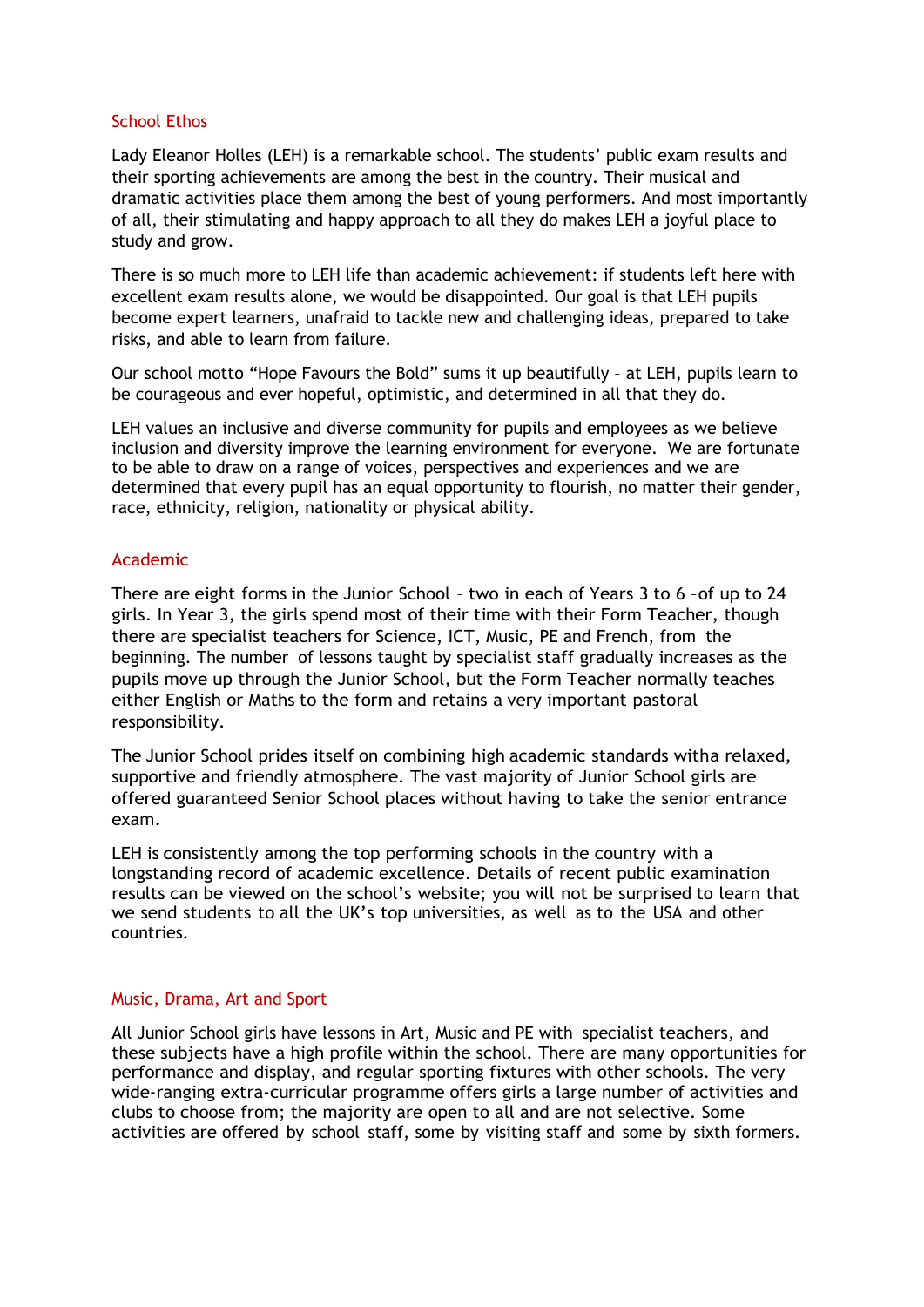#### School Ethos

Lady Eleanor Holles (LEH) is a remarkable school. The students' public exam results and their sporting achievements are among the best in the country. Their musical and dramatic activities place them among the best of young performers. And most importantly of all, their stimulating and happy approach to all they do makes LEH a joyful place to study and grow.

There is so much more to LEH life than academic achievement: if students left here with excellent exam results alone, we would be disappointed. Our goal is that LEH pupils become expert learners, unafraid to tackle new and challenging ideas, prepared to take risks, and able to learn from failure.

Our school motto "Hope Favours the Bold" sums it up beautifully – at LEH, pupils learn to be courageous and ever hopeful, optimistic, and determined in all that they do.

LEH values an inclusive and diverse community for pupils and employees as we believe inclusion and diversity improve the learning environment for everyone. We are fortunate to be able to draw on a range of voices, perspectives and experiences and we are determined that every pupil has an equal opportunity to flourish, no matter their gender, race, ethnicity, religion, nationality or physical ability.

#### Academic

There are eight forms in the Junior School – two in each of Years 3 to 6 –of up to 24 girls. In Year 3, the girls spend most of their time with their Form Teacher, though there are specialist teachers for Science, ICT, Music, PE and French, from the beginning. The number of lessons taught by specialist staff gradually increases as the pupils move up through the Junior School, but the Form Teacher normally teaches either English or Maths to the form and retains a very important pastoral responsibility.

The Junior School prides itself on combining high academic standards witha relaxed, supportive and friendly atmosphere. The vast majority of Junior School girls are offered guaranteed Senior School places without having to take the senior entrance exam.

LEH is consistently among the top performing schools in the country with a longstanding record of academic excellence. Details of recent public examination results can be viewed on the school's website; you will not be surprised to learn that we send students to all the UK's top universities, as well as to the USA and other countries.

#### Music, Drama, Art and Sport

All Junior School girls have lessons in Art, Music and PE with specialist teachers, and these subjects have a high profile within the school. There are many opportunities for performance and display, and regular sporting fixtures with other schools. The very wide-ranging extra-curricular programme offers girls a large number of activities and clubs to choose from; the majority are open to all and are not selective. Some activities are offered by school staff, some by visiting staff and some by sixth formers.